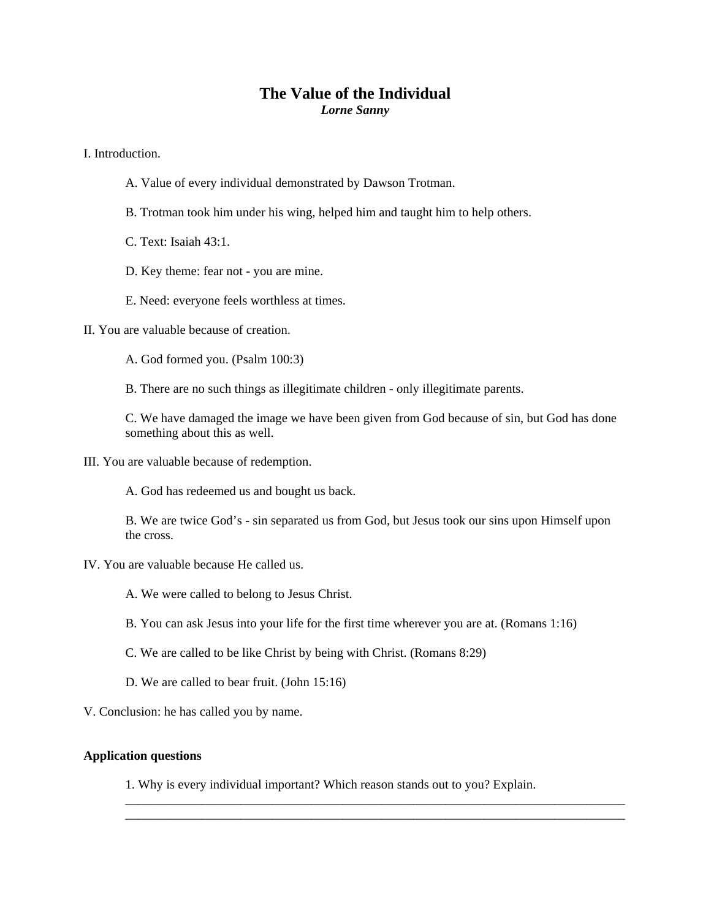## **The Value of the Individual**  *Lorne Sanny*

I. Introduction.

- A. Value of every individual demonstrated by Dawson Trotman.
- B. Trotman took him under his wing, helped him and taught him to help others.

C. Text: Isaiah 43:1.

- D. Key theme: fear not you are mine.
- E. Need: everyone feels worthless at times.

II. You are valuable because of creation.

A. God formed you. (Psalm 100:3)

B. There are no such things as illegitimate children - only illegitimate parents.

C. We have damaged the image we have been given from God because of sin, but God has done something about this as well.

III. You are valuable because of redemption.

A. God has redeemed us and bought us back.

B. We are twice God's - sin separated us from God, but Jesus took our sins upon Himself upon the cross.

IV. You are valuable because He called us.

A. We were called to belong to Jesus Christ.

- B. You can ask Jesus into your life for the first time wherever you are at. (Romans 1:16)
- C. We are called to be like Christ by being with Christ. (Romans 8:29)
- D. We are called to bear fruit. (John 15:16)

V. Conclusion: he has called you by name.

## **Application questions**

1. Why is every individual important? Which reason stands out to you? Explain.

\_\_\_\_\_\_\_\_\_\_\_\_\_\_\_\_\_\_\_\_\_\_\_\_\_\_\_\_\_\_\_\_\_\_\_\_\_\_\_\_\_\_\_\_\_\_\_\_\_\_\_\_\_\_\_\_\_\_\_\_\_\_\_\_\_\_\_\_\_\_\_\_\_\_\_\_\_\_ \_\_\_\_\_\_\_\_\_\_\_\_\_\_\_\_\_\_\_\_\_\_\_\_\_\_\_\_\_\_\_\_\_\_\_\_\_\_\_\_\_\_\_\_\_\_\_\_\_\_\_\_\_\_\_\_\_\_\_\_\_\_\_\_\_\_\_\_\_\_\_\_\_\_\_\_\_\_